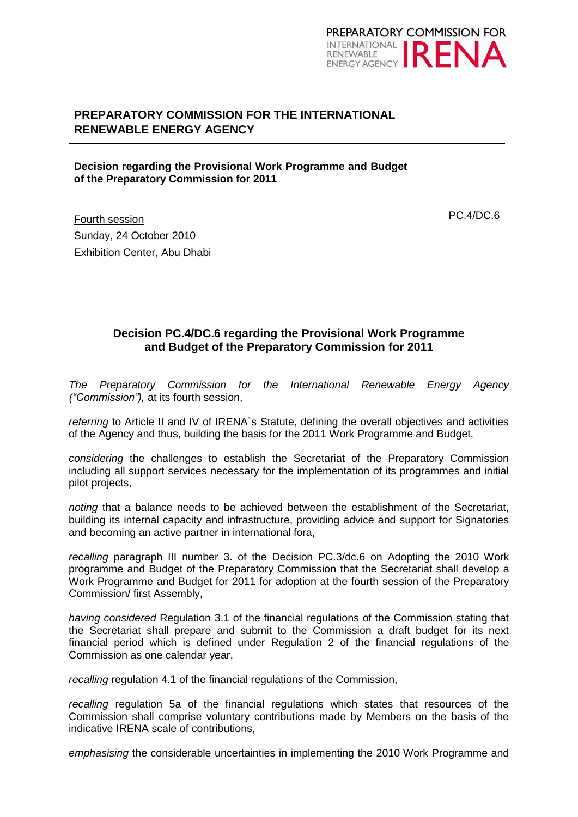

## **PREPARATORY COMMISSION FOR THE INTERNATIONAL RENEWABLE ENERGY AGENCY**

#### **Decision regarding the Provisional Work Programme and Budget of the Preparatory Commission for 2011**

Fourth session Sunday, 24 October 2010 Exhibition Center, Abu Dhabi PC.4/DC.6

### **Decision PC.4/DC.6 regarding the Provisional Work Programme and Budget of the Preparatory Commission for 2011**

*The Preparatory Commission for the International Renewable Energy Agency ("Commission"),* at its fourth session,

*referring* to Article II and IV of IRENA`s Statute, defining the overall objectives and activities of the Agency and thus, building the basis for the 2011 Work Programme and Budget,

*considering* the challenges to establish the Secretariat of the Preparatory Commission including all support services necessary for the implementation of its programmes and initial pilot projects,

*noting* that a balance needs to be achieved between the establishment of the Secretariat, building its internal capacity and infrastructure, providing advice and support for Signatories and becoming an active partner in international fora,

recalling paragraph III number 3. of the Decision PC.3/dc.6 on Adopting the 2010 Work programme and Budget of the Preparatory Commission that the Secretariat shall develop a Work Programme and Budget for 2011 for adoption at the fourth session of the Preparatory Commission/ first Assembly,

*having considered* Regulation 3.1 of the financial regulations of the Commission stating that the Secretariat shall prepare and submit to the Commission a draft budget for its next financial period which is defined under Regulation 2 of the financial regulations of the Commission as one calendar year,

*recalling* regulation 4.1 of the financial regulations of the Commission,

*recalling* regulation 5a of the financial regulations which states that resources of the Commission shall comprise voluntary contributions made by Members on the basis of the indicative IRENA scale of contributions,

*emphasising* the considerable uncertainties in implementing the 2010 Work Programme and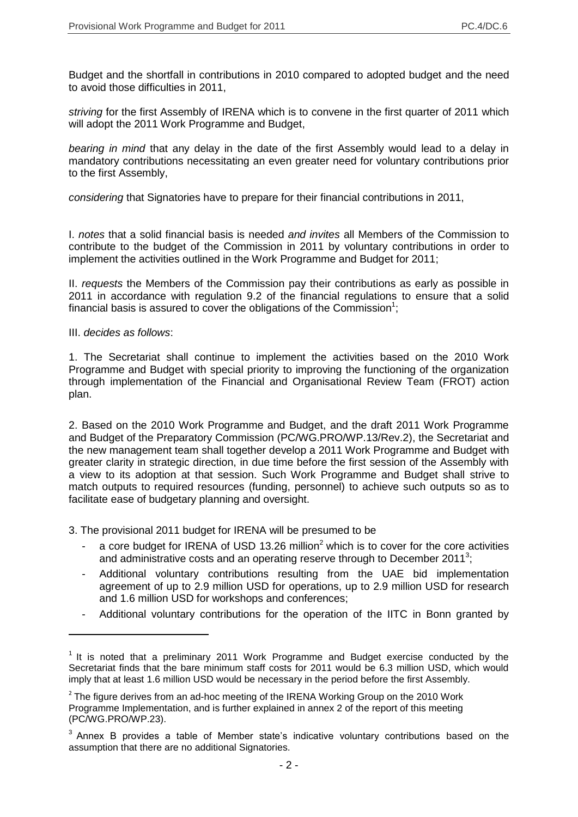Budget and the shortfall in contributions in 2010 compared to adopted budget and the need to avoid those difficulties in 2011,

*striving* for the first Assembly of IRENA which is to convene in the first quarter of 2011 which will adopt the 2011 Work Programme and Budget,

*bearing in mind* that any delay in the date of the first Assembly would lead to a delay in mandatory contributions necessitating an even greater need for voluntary contributions prior to the first Assembly,

*considering* that Signatories have to prepare for their financial contributions in 2011,

I. *notes* that a solid financial basis is needed *and invites* all Members of the Commission to contribute to the budget of the Commission in 2011 by voluntary contributions in order to implement the activities outlined in the Work Programme and Budget for 2011;

II. *requests* the Members of the Commission pay their contributions as early as possible in 2011 in accordance with regulation 9.2 of the financial regulations to ensure that a solid financial basis is assured to cover the obligations of the Commission<sup>1</sup>;

III. *decides as follows*:

1

1. The Secretariat shall continue to implement the activities based on the 2010 Work Programme and Budget with special priority to improving the functioning of the organization through implementation of the Financial and Organisational Review Team (FROT) action plan.

2. Based on the 2010 Work Programme and Budget, and the draft 2011 Work Programme and Budget of the Preparatory Commission (PC/WG.PRO/WP.13/Rev.2), the Secretariat and the new management team shall together develop a 2011 Work Programme and Budget with greater clarity in strategic direction, in due time before the first session of the Assembly with a view to its adoption at that session. Such Work Programme and Budget shall strive to match outputs to required resources (funding, personnel) to achieve such outputs so as to facilitate ease of budgetary planning and oversight.

3. The provisional 2011 budget for IRENA will be presumed to be

- a core budget for IRENA of USD 13.26 million<sup>2</sup> which is to cover for the core activities and administrative costs and an operating reserve through to December 2011<sup>3</sup>;
- Additional voluntary contributions resulting from the UAE bid implementation agreement of up to 2.9 million USD for operations, up to 2.9 million USD for research and 1.6 million USD for workshops and conferences;
- Additional voluntary contributions for the operation of the IITC in Bonn granted by

 $1$  It is noted that a preliminary 2011 Work Programme and Budget exercise conducted by the Secretariat finds that the bare minimum staff costs for 2011 would be 6.3 million USD, which would imply that at least 1.6 million USD would be necessary in the period before the first Assembly.

 $2$  The figure derives from an ad-hoc meeting of the IRENA Working Group on the 2010 Work Programme Implementation, and is further explained in annex 2 of the report of this meeting (PC/WG.PRO/WP.23).

 $3$  Annex B provides a table of Member state's indicative voluntary contributions based on the assumption that there are no additional Signatories.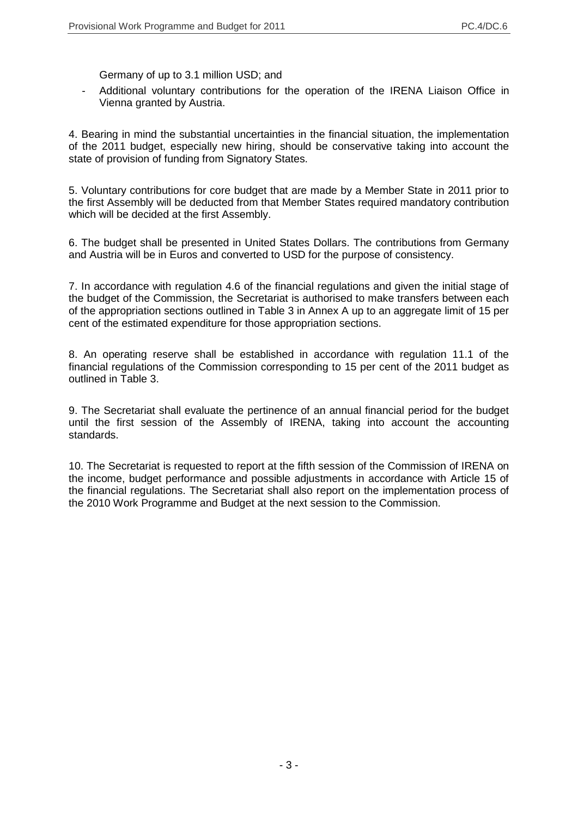Germany of up to 3.1 million USD; and

Additional voluntary contributions for the operation of the IRENA Liaison Office in Vienna granted by Austria.

4. Bearing in mind the substantial uncertainties in the financial situation, the implementation of the 2011 budget, especially new hiring, should be conservative taking into account the state of provision of funding from Signatory States.

5. Voluntary contributions for core budget that are made by a Member State in 2011 prior to the first Assembly will be deducted from that Member States required mandatory contribution which will be decided at the first Assembly.

6. The budget shall be presented in United States Dollars. The contributions from Germany and Austria will be in Euros and converted to USD for the purpose of consistency.

7. In accordance with regulation 4.6 of the financial regulations and given the initial stage of the budget of the Commission, the Secretariat is authorised to make transfers between each of the appropriation sections outlined in Table 3 in Annex A up to an aggregate limit of 15 per cent of the estimated expenditure for those appropriation sections.

8. An operating reserve shall be established in accordance with regulation 11.1 of the financial regulations of the Commission corresponding to 15 per cent of the 2011 budget as outlined in Table 3.

9. The Secretariat shall evaluate the pertinence of an annual financial period for the budget until the first session of the Assembly of IRENA, taking into account the accounting standards.

10. The Secretariat is requested to report at the fifth session of the Commission of IRENA on the income, budget performance and possible adjustments in accordance with Article 15 of the financial regulations. The Secretariat shall also report on the implementation process of the 2010 Work Programme and Budget at the next session to the Commission.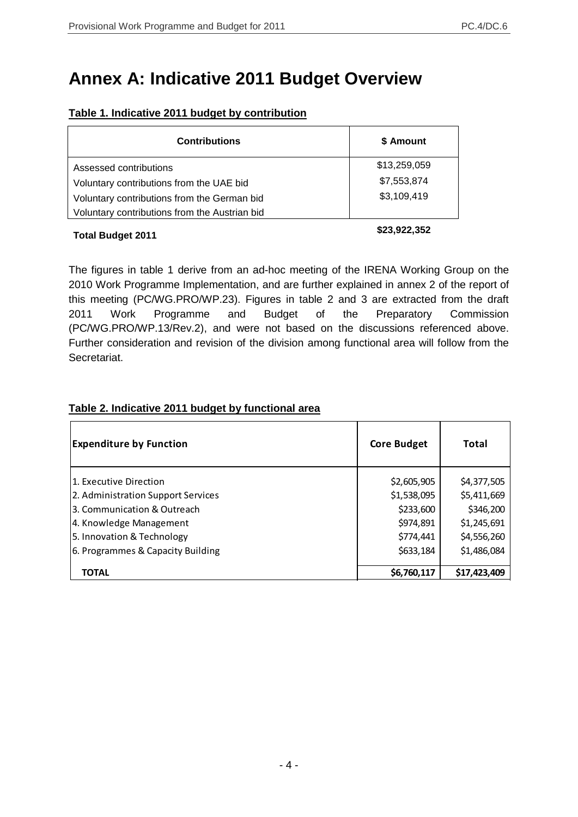# **Annex A: Indicative 2011 Budget Overview**

| \$ Amount    |
|--------------|
| \$13,259,059 |
| \$7,553,874  |
| \$3,109,419  |
|              |
|              |

### **Table 1. Indicative 2011 budget by contribution**

## **Total Budget 2011 \$23,922,352**

The figures in table 1 derive from an ad-hoc meeting of the IRENA Working Group on the 2010 Work Programme Implementation, and are further explained in annex 2 of the report of this meeting (PC/WG.PRO/WP.23). Figures in table 2 and 3 are extracted from the draft 2011 Work Programme and Budget of the Preparatory Commission (PC/WG.PRO/WP.13/Rev.2), and were not based on the discussions referenced above. Further consideration and revision of the division among functional area will follow from the Secretariat.

# 1. Executive Direction \$2,605,905 \$4,377,505 2. Administration Support Services  $\vert$  \$1,538,095  $\vert$  \$5,411,669 3. Communication & Outreach  $\sim$   $\sim$   $\sim$   $\sim$  \$333,600  $\sim$  \$346,200 4. Knowledge Management 1. Compared to the Second of the Second State of St. 245,691 \$1,245,691 5. Innovation & Technology \$774,441 \$4,556,260 6. Programmes & Capacity Building \$633,184 \$1,486,084 \$633,184 **TOTAL** \$6,760,117 **\$17,423,409 Expenditure by Function Community Core Budget** Total

### **Table 2. Indicative 2011 budget by functional area**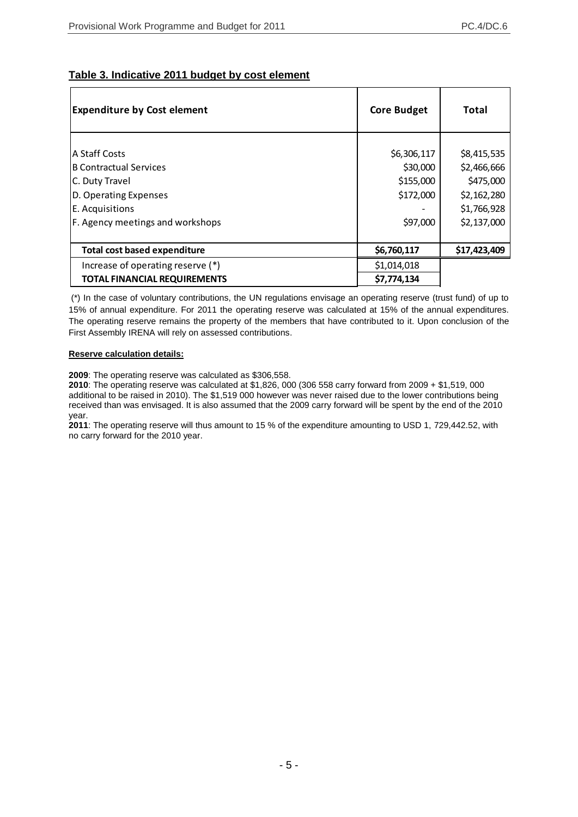#### **Table 3. Indicative 2011 budget by cost element**

| <b>Expenditure by Cost element</b>  | <b>Core Budget</b> | Total        |
|-------------------------------------|--------------------|--------------|
|                                     |                    |              |
| lA Staff Costs                      | \$6,306,117        | \$8,415,535  |
| <b>B Contractual Services</b>       | \$30,000           | \$2,466,666  |
| C. Duty Travel                      | \$155,000          | \$475,000    |
| D. Operating Expenses               | \$172,000          | \$2,162,280  |
| E. Acquisitions                     |                    | \$1,766,928  |
| F. Agency meetings and workshops    | \$97,000           | \$2,137,000  |
| Total cost based expenditure        | \$6,760,117        | \$17,423,409 |
| Increase of operating reserve (*)   | \$1,014,018        |              |
| <b>TOTAL FINANCIAL REQUIREMENTS</b> | \$7,774,134        |              |

(\*) In the case of voluntary contributions, the UN regulations envisage an operating reserve (trust fund) of up to 15% of annual expenditure. For 2011 the operating reserve was calculated at 15% of the annual expenditures. The operating reserve remains the property of the members that have contributed to it. Upon conclusion of the First Assembly IRENA will rely on assessed contributions.

#### **Reserve calculation details:**

**2009**: The operating reserve was calculated as \$306,558.

**2010**: The operating reserve was calculated at \$1,826, 000 (306 558 carry forward from 2009 + \$1,519, 000 additional to be raised in 2010). The \$1,519 000 however was never raised due to the lower contributions being received than was envisaged. It is also assumed that the 2009 carry forward will be spent by the end of the 2010 year.

**2011**: The operating reserve will thus amount to 15 % of the expenditure amounting to USD 1, 729,442.52, with no carry forward for the 2010 year.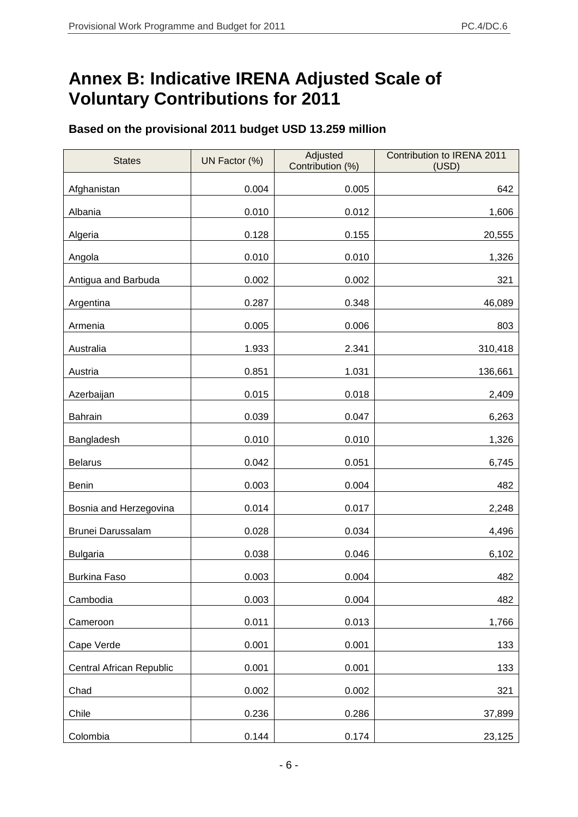# **Annex B: Indicative IRENA Adjusted Scale of Voluntary Contributions for 2011**

# **Based on the provisional 2011 budget USD 13.259 million**

| <b>States</b>            | UN Factor (%) | Adjusted<br>Contribution (%) | Contribution to IRENA 2011<br>(USD) |
|--------------------------|---------------|------------------------------|-------------------------------------|
| Afghanistan              | 0.004         | 0.005                        | 642                                 |
| Albania                  | 0.010         | 0.012                        | 1,606                               |
| Algeria                  | 0.128         | 0.155                        | 20,555                              |
| Angola                   | 0.010         | 0.010                        | 1,326                               |
| Antigua and Barbuda      | 0.002         | 0.002                        | 321                                 |
| Argentina                | 0.287         | 0.348                        | 46,089                              |
| Armenia                  | 0.005         | 0.006                        | 803                                 |
| Australia                | 1.933         | 2.341                        | 310,418                             |
| Austria                  | 0.851         | 1.031                        | 136,661                             |
| Azerbaijan               | 0.015         | 0.018                        | 2,409                               |
| <b>Bahrain</b>           | 0.039         | 0.047                        | 6,263                               |
| Bangladesh               | 0.010         | 0.010                        | 1,326                               |
| <b>Belarus</b>           | 0.042         | 0.051                        | 6,745                               |
| <b>Benin</b>             | 0.003         | 0.004                        | 482                                 |
| Bosnia and Herzegovina   | 0.014         | 0.017                        | 2,248                               |
| Brunei Darussalam        | 0.028         | 0.034                        | 4,496                               |
| <b>Bulgaria</b>          | 0.038         | 0.046                        | 6,102                               |
| <b>Burkina Faso</b>      | 0.003         | 0.004                        | 482                                 |
| Cambodia                 | 0.003         | 0.004                        | 482                                 |
| Cameroon                 | 0.011         | 0.013                        | 1,766                               |
| Cape Verde               | 0.001         | 0.001                        | 133                                 |
| Central African Republic | 0.001         | 0.001                        | 133                                 |
| Chad                     | 0.002         | 0.002                        | 321                                 |
| Chile                    | 0.236         | 0.286                        | 37,899                              |
| Colombia                 | 0.144         | 0.174                        | 23,125                              |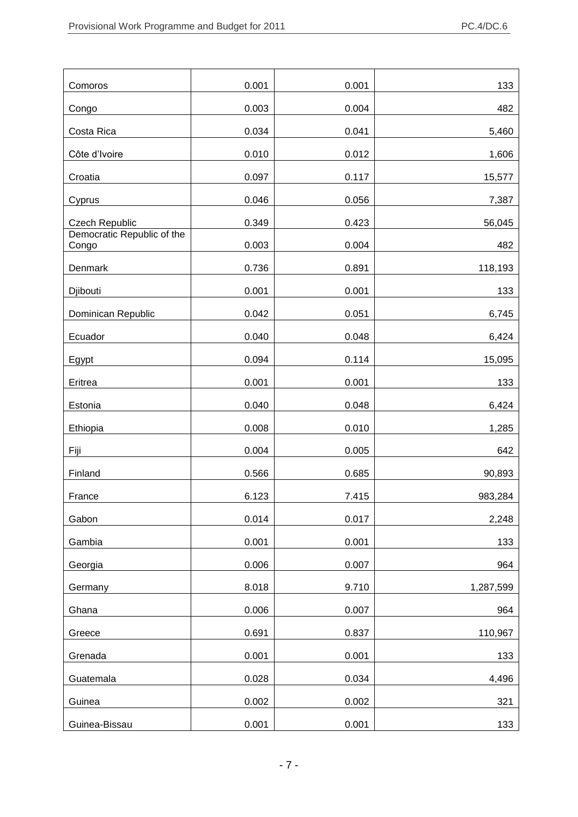| Comoros                             | 0.001 | 0.001 | 133       |
|-------------------------------------|-------|-------|-----------|
| Congo                               | 0.003 | 0.004 | 482       |
| Costa Rica                          | 0.034 | 0.041 | 5,460     |
| Côte d'Ivoire                       | 0.010 | 0.012 | 1,606     |
| Croatia                             | 0.097 | 0.117 | 15,577    |
| Cyprus                              | 0.046 | 0.056 | 7,387     |
| Czech Republic                      | 0.349 | 0.423 | 56,045    |
| Democratic Republic of the<br>Congo | 0.003 | 0.004 | 482       |
| Denmark                             | 0.736 | 0.891 | 118,193   |
| Djibouti                            | 0.001 | 0.001 | 133       |
| Dominican Republic                  | 0.042 | 0.051 | 6,745     |
| Ecuador                             | 0.040 | 0.048 | 6,424     |
| Egypt                               | 0.094 | 0.114 | 15,095    |
| Eritrea                             | 0.001 | 0.001 | 133       |
| Estonia                             | 0.040 | 0.048 | 6,424     |
| Ethiopia                            | 0.008 | 0.010 | 1,285     |
| Fiji                                | 0.004 | 0.005 | 642       |
| Finland                             | 0.566 | 0.685 | 90,893    |
| France                              | 6.123 | 7.415 | 983,284   |
| Gabon                               | 0.014 | 0.017 | 2,248     |
| Gambia                              | 0.001 | 0.001 | 133       |
| Georgia                             | 0.006 | 0.007 | 964       |
| Germany                             | 8.018 | 9.710 | 1,287,599 |
| Ghana                               | 0.006 | 0.007 | 964       |
| Greece                              | 0.691 | 0.837 | 110,967   |
| Grenada                             | 0.001 | 0.001 | 133       |
| Guatemala                           | 0.028 | 0.034 | 4,496     |
| Guinea                              | 0.002 | 0.002 | 321       |
| Guinea-Bissau                       | 0.001 | 0.001 | 133       |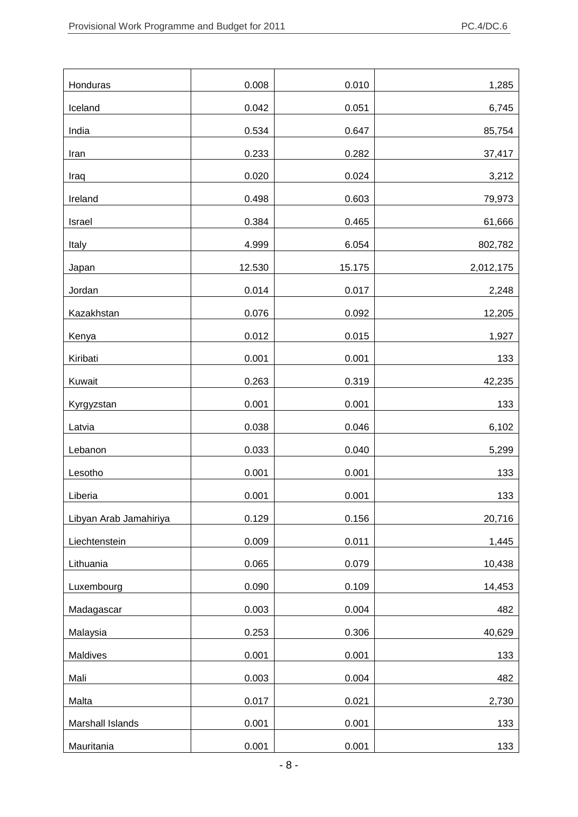| Honduras               | 0.008  | 0.010  | 1,285     |
|------------------------|--------|--------|-----------|
| Iceland                | 0.042  | 0.051  | 6,745     |
| India                  | 0.534  | 0.647  | 85,754    |
| Iran                   | 0.233  | 0.282  | 37,417    |
| Iraq                   | 0.020  | 0.024  | 3,212     |
| Ireland                | 0.498  | 0.603  | 79,973    |
| Israel                 | 0.384  | 0.465  | 61,666    |
| Italy                  | 4.999  | 6.054  | 802,782   |
| Japan                  | 12.530 | 15.175 | 2,012,175 |
| Jordan                 | 0.014  | 0.017  | 2,248     |
| Kazakhstan             | 0.076  | 0.092  | 12,205    |
| Kenya                  | 0.012  | 0.015  | 1,927     |
| Kiribati               | 0.001  | 0.001  | 133       |
| Kuwait                 | 0.263  | 0.319  | 42,235    |
| Kyrgyzstan             | 0.001  | 0.001  | 133       |
| Latvia                 | 0.038  | 0.046  | 6,102     |
| Lebanon                | 0.033  | 0.040  | 5,299     |
| Lesotho                | 0.001  | 0.001  | 133       |
| Liberia                | 0.001  | 0.001  | 133       |
| Libyan Arab Jamahiriya | 0.129  | 0.156  | 20,716    |
| Liechtenstein          | 0.009  | 0.011  | 1,445     |
| Lithuania              | 0.065  | 0.079  | 10,438    |
| Luxembourg             | 0.090  | 0.109  | 14,453    |
| Madagascar             | 0.003  | 0.004  | 482       |
| Malaysia               | 0.253  | 0.306  | 40,629    |
| Maldives               | 0.001  | 0.001  | 133       |
| Mali                   | 0.003  | 0.004  | 482       |
| Malta                  | 0.017  | 0.021  | 2,730     |
| Marshall Islands       | 0.001  | 0.001  | 133       |
| Mauritania             | 0.001  | 0.001  | 133       |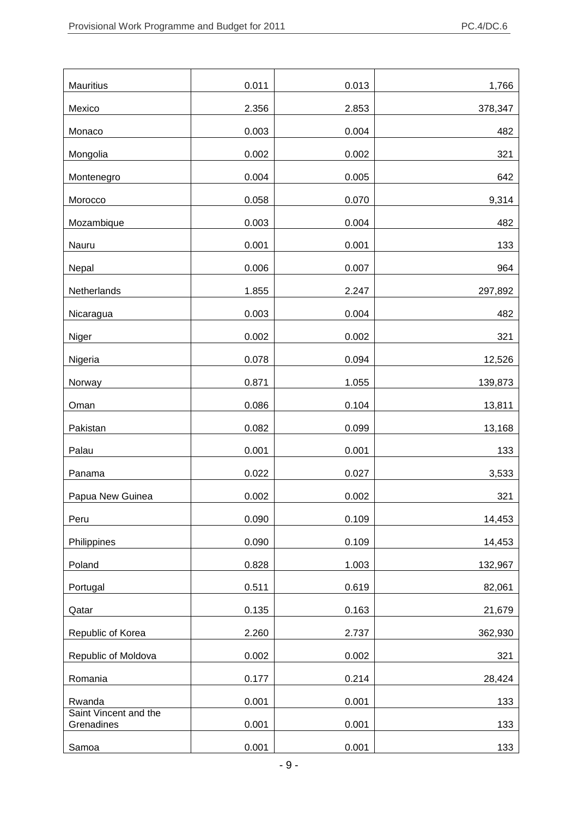| Mauritius                           | 0.011 | 0.013 | 1,766   |
|-------------------------------------|-------|-------|---------|
| Mexico                              | 2.356 | 2.853 | 378,347 |
| Monaco                              | 0.003 | 0.004 | 482     |
| Mongolia                            | 0.002 | 0.002 | 321     |
| Montenegro                          | 0.004 | 0.005 | 642     |
| Morocco                             | 0.058 | 0.070 | 9,314   |
| Mozambique                          | 0.003 | 0.004 | 482     |
| Nauru                               | 0.001 | 0.001 | 133     |
| Nepal                               | 0.006 | 0.007 | 964     |
| Netherlands                         | 1.855 | 2.247 | 297,892 |
| Nicaragua                           | 0.003 | 0.004 | 482     |
| Niger                               | 0.002 | 0.002 | 321     |
| Nigeria                             | 0.078 | 0.094 | 12,526  |
| Norway                              | 0.871 | 1.055 | 139,873 |
| Oman                                | 0.086 | 0.104 | 13,811  |
| Pakistan                            | 0.082 | 0.099 | 13,168  |
| Palau                               | 0.001 | 0.001 | 133     |
| Panama                              | 0.022 | 0.027 | 3,533   |
| Papua New Guinea                    | 0.002 | 0.002 | 321     |
| Peru                                | 0.090 | 0.109 | 14,453  |
| Philippines                         | 0.090 | 0.109 | 14,453  |
| Poland                              | 0.828 | 1.003 | 132,967 |
| Portugal                            | 0.511 | 0.619 | 82,061  |
| Qatar                               | 0.135 | 0.163 | 21,679  |
| Republic of Korea                   | 2.260 | 2.737 | 362,930 |
| Republic of Moldova                 | 0.002 | 0.002 | 321     |
| Romania                             | 0.177 | 0.214 | 28,424  |
| Rwanda                              | 0.001 | 0.001 | 133     |
| Saint Vincent and the<br>Grenadines | 0.001 | 0.001 | 133     |
| Samoa                               | 0.001 | 0.001 | 133     |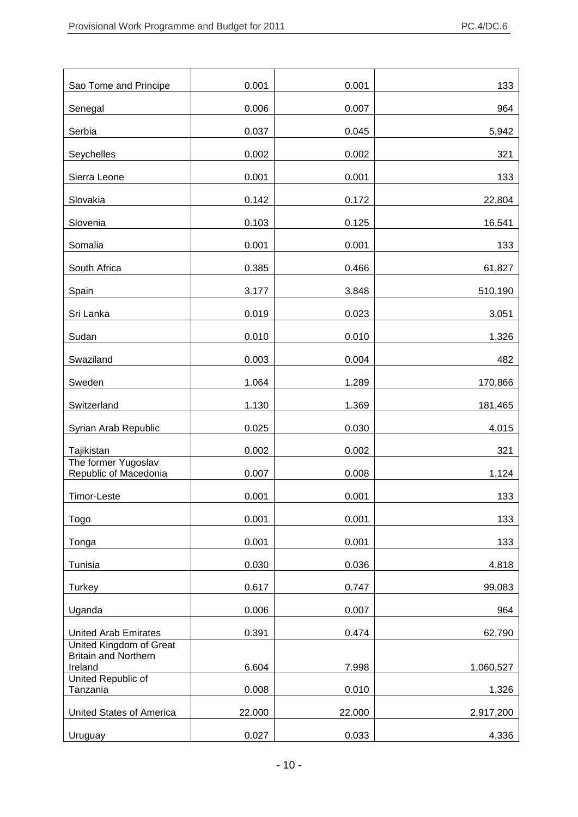| Sao Tome and Principe                                  | 0.001  | 0.001  | 133       |
|--------------------------------------------------------|--------|--------|-----------|
| Senegal                                                | 0.006  | 0.007  | 964       |
| Serbia                                                 | 0.037  | 0.045  | 5,942     |
| Seychelles                                             | 0.002  | 0.002  | 321       |
| Sierra Leone                                           | 0.001  | 0.001  | 133       |
| Slovakia                                               | 0.142  | 0.172  | 22,804    |
| Slovenia                                               | 0.103  | 0.125  | 16,541    |
| Somalia                                                | 0.001  | 0.001  | 133       |
| South Africa                                           | 0.385  | 0.466  | 61,827    |
| Spain                                                  | 3.177  | 3.848  | 510,190   |
| Sri Lanka                                              | 0.019  | 0.023  | 3,051     |
| Sudan                                                  | 0.010  | 0.010  | 1,326     |
| Swaziland                                              | 0.003  | 0.004  | 482       |
| Sweden                                                 | 1.064  | 1.289  | 170,866   |
| Switzerland                                            | 1.130  | 1.369  | 181,465   |
| Syrian Arab Republic                                   | 0.025  | 0.030  | 4,015     |
| Tajikistan                                             | 0.002  | 0.002  | 321       |
| The former Yugoslav<br>Republic of Macedonia           | 0.007  | 0.008  | 1,124     |
| Timor-Leste                                            | 0.001  | 0.001  | 133       |
| Togo                                                   | 0.001  | 0.001  | 133       |
| Tonga                                                  | 0.001  | 0.001  | 133       |
| Tunisia                                                | 0.030  | 0.036  | 4,818     |
| Turkey                                                 | 0.617  | 0.747  | 99,083    |
| Uganda                                                 | 0.006  | 0.007  | 964       |
| <b>United Arab Emirates</b>                            | 0.391  | 0.474  | 62,790    |
| United Kingdom of Great<br><b>Britain and Northern</b> |        |        |           |
| Ireland<br>United Republic of                          | 6.604  | 7.998  | 1,060,527 |
| Tanzania                                               | 0.008  | 0.010  | 1,326     |
| United States of America                               | 22.000 | 22.000 | 2,917,200 |
| Uruguay                                                | 0.027  | 0.033  | 4,336     |